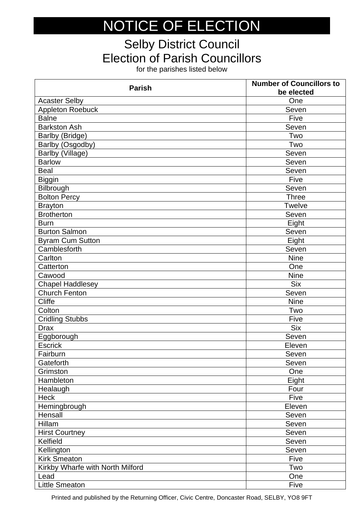## NOTICE OF ELECTION

## Selby District Council Election of Parish Councillors

for the parishes listed below

| <b>Parish</b>                    | <b>Number of Councillors to</b><br>be elected |
|----------------------------------|-----------------------------------------------|
| <b>Acaster Selby</b>             | One                                           |
| Appleton Roebuck                 | Seven                                         |
| <b>Balne</b>                     | Five                                          |
| <b>Barkston Ash</b>              | Seven                                         |
| Barlby (Bridge)                  | Two                                           |
| Barlby (Osgodby)                 | Two                                           |
| Barlby (Village)                 | Seven                                         |
| <b>Barlow</b>                    | Seven                                         |
| <b>Beal</b>                      | Seven                                         |
| <b>Biggin</b>                    | Five                                          |
| Bilbrough                        | Seven                                         |
| <b>Bolton Percy</b>              | <b>Three</b>                                  |
| <b>Brayton</b>                   | <b>Twelve</b>                                 |
| <b>Brotherton</b>                | Seven                                         |
| <b>Burn</b>                      | Eight                                         |
| <b>Burton Salmon</b>             | Seven                                         |
| <b>Byram Cum Sutton</b>          | Eight                                         |
| Camblesforth                     | Seven                                         |
| Carlton                          | <b>Nine</b>                                   |
| Catterton                        | One                                           |
| Cawood                           | <b>Nine</b>                                   |
| Chapel Haddlesey                 | <b>Six</b>                                    |
| <b>Church Fenton</b>             | Seven                                         |
| <b>Cliffe</b>                    | <b>Nine</b>                                   |
| Colton                           | Two                                           |
| <b>Cridling Stubbs</b>           | Five                                          |
| <b>Drax</b>                      | <b>Six</b>                                    |
| Eggborough                       | Seven                                         |
| <b>Escrick</b>                   | Eleven                                        |
| Fairburn                         | Seven                                         |
| Gateforth                        | Seven                                         |
| Grimston                         | One                                           |
| Hambleton                        | Eight                                         |
| Healaugh                         | Four                                          |
| Heck                             | Five                                          |
| Hemingbrough                     | Eleven                                        |
| Hensall                          | Seven                                         |
| Hillam                           | Seven                                         |
| <b>Hirst Courtney</b>            | Seven                                         |
| Kelfield                         | Seven                                         |
| Kellington                       | Seven                                         |
| <b>Kirk Smeaton</b>              | Five                                          |
| Kirkby Wharfe with North Milford | Two                                           |
| Lead                             | One                                           |
| <b>Little Smeaton</b>            | Five                                          |

Printed and published by the Returning Officer, Civic Centre, Doncaster Road, SELBY, YO8 9FT